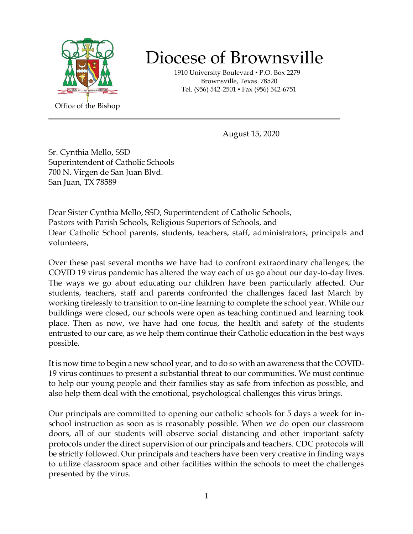

## Diocese of Brownsville

 1910 University Boulevard ▪ P.O. Box 2279 Brownsville, Texas 78520 Tel. (956) 542-2501 ▪ Fax (956) 542-6751

August 15, 2020

Superintendent of Catholic Schools<br>700 N Virgon do San Juan Blyd Sr. Cynthia Mello, SSD 700 N. Virgen de San Juan Blvd. San Juan, TX 78589

Dear Sister Cynthia Mello, SSD, Superintendent of Catholic Schools, Pastors with Parish Schools, Religious Superiors of Schools, and Dear Catholic School parents, students, teachers, staff, administrators, principals and volunteers,

Over these past several months we have had to confront extraordinary challenges; the COVID 19 virus pandemic has altered the way each of us go about our day-to-day lives. The ways we go about educating our children have been particularly affected. Our students, teachers, staff and parents confronted the challenges faced last March by working tirelessly to transition to on-line learning to complete the school year. While our buildings were closed, our schools were open as teaching continued and learning took place. Then as now, we have had one focus, the health and safety of the students entrusted to our care, as we help them continue their Catholic education in the best ways possible.

It is now time to begin a new school year, and to do so with an awareness that the COVID-19 virus continues to present a substantial threat to our communities. We must continue to help our young people and their families stay as safe from infection as possible, and also help them deal with the emotional, psychological challenges this virus brings.

Our principals are committed to opening our catholic schools for 5 days a week for inschool instruction as soon as is reasonably possible. When we do open our classroom doors, all of our students will observe social distancing and other important safety protocols under the direct supervision of our principals and teachers. CDC protocols will be strictly followed. Our principals and teachers have been very creative in finding ways to utilize classroom space and other facilities within the schools to meet the challenges presented by the virus.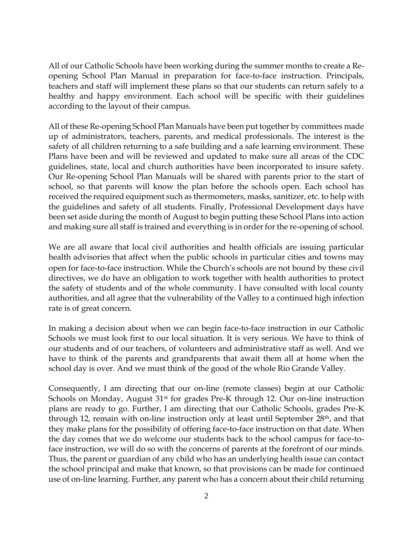All of our Catholic Schools have been working during the summer months to create a Reopening School Plan Manual in preparation for face-to-face instruction. Principals, teachers and staff will implement these plans so that our students can return safely to a healthy and happy environment. Each school will be specific with their guidelines according to the layout of their campus.

All of these Re-opening School Plan Manuals have been put together by committees made up of administrators, teachers, parents, and medical professionals. The interest is the safety of all children returning to a safe building and a safe learning environment. These Plans have been and will be reviewed and updated to make sure all areas of the CDC guidelines, state, local and church authorities have been incorporated to insure safety. Our Re-opening School Plan Manuals will be shared with parents prior to the start of school, so that parents will know the plan before the schools open. Each school has received the required equipment such as thermometers, masks, sanitizer, etc. to help with the guidelines and safety of all students. Finally, Professional Development days have been set aside during the month of August to begin putting these School Plans into action and making sure all staff is trained and everything is in order for the re-opening of school.

We are all aware that local civil authorities and health officials are issuing particular health advisories that affect when the public schools in particular cities and towns may open for face-to-face instruction. While the Church's schools are not bound by these civil directives, we do have an obligation to work together with health authorities to protect the safety of students and of the whole community. I have consulted with local county authorities, and all agree that the vulnerability of the Valley to a continued high infection rate is of great concern.

In making a decision about when we can begin face-to-face instruction in our Catholic Schools we must look first to our local situation. It is very serious. We have to think of our students and of our teachers, of volunteers and administrative staff as well. And we have to think of the parents and grandparents that await them all at home when the school day is over. And we must think of the good of the whole Rio Grande Valley.

Consequently, I am directing that our on-line (remote classes) begin at our Catholic Schools on Monday, August 31<sup>st</sup> for grades Pre-K through 12. Our on-line instruction plans are ready to go. Further, I am directing that our Catholic Schools, grades Pre-K through 12, remain with on-line instruction only at least until September 28<sup>th</sup>, and that they make plans for the possibility of offering face-to-face instruction on that date. When the day comes that we do welcome our students back to the school campus for face-toface instruction, we will do so with the concerns of parents at the forefront of our minds. Thus, the parent or guardian of any child who has an underlying health issue can contact the school principal and make that known, so that provisions can be made for continued use of on-line learning. Further, any parent who has a concern about their child returning